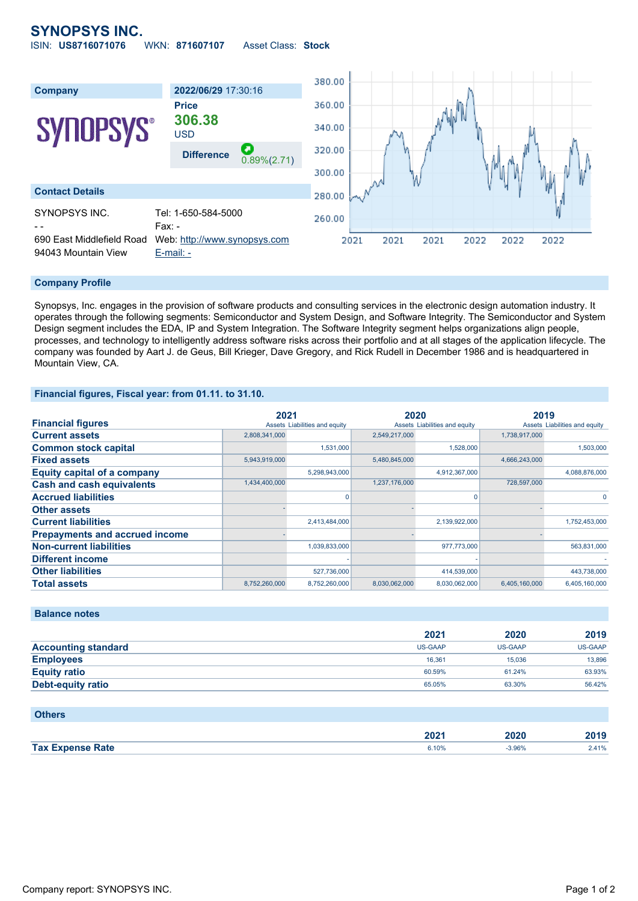# **SYNOPSYS INC.**

ISIN: **US8716071076** WKN: **871607107** Asset Class: **Stock**



#### **Company Profile**

Synopsys, Inc. engages in the provision of software products and consulting services in the electronic design automation industry. It operates through the following segments: Semiconductor and System Design, and Software Integrity. The Semiconductor and System Design segment includes the EDA, IP and System Integration. The Software Integrity segment helps organizations align people, processes, and technology to intelligently address software risks across their portfolio and at all stages of the application lifecycle. The company was founded by Aart J. de Geus, Bill Krieger, Dave Gregory, and Rick Rudell in December 1986 and is headquartered in Mountain View, CA.

#### **Financial figures, Fiscal year: from 01.11. to 31.10.**

|                                       | 2021          |                               | 2020          |                               | 2019          |                               |
|---------------------------------------|---------------|-------------------------------|---------------|-------------------------------|---------------|-------------------------------|
| <b>Financial figures</b>              |               | Assets Liabilities and equity |               | Assets Liabilities and equity |               | Assets Liabilities and equity |
| <b>Current assets</b>                 | 2,808,341,000 |                               | 2,549,217,000 |                               | 1,738,917,000 |                               |
| <b>Common stock capital</b>           |               | 1.531.000                     |               | 1,528,000                     |               | 1,503,000                     |
| <b>Fixed assets</b>                   | 5,943,919,000 |                               | 5,480,845,000 |                               | 4,666,243,000 |                               |
| <b>Equity capital of a company</b>    |               | 5,298,943,000                 |               | 4,912,367,000                 |               | 4,088,876,000                 |
| <b>Cash and cash equivalents</b>      | 1,434,400,000 |                               | 1,237,176,000 |                               | 728,597,000   |                               |
| <b>Accrued liabilities</b>            |               | $\Omega$                      |               |                               |               |                               |
| <b>Other assets</b>                   |               |                               |               |                               |               |                               |
| <b>Current liabilities</b>            |               | 2,413,484,000                 |               | 2,139,922,000                 |               | 1,752,453,000                 |
| <b>Prepayments and accrued income</b> |               |                               |               |                               |               |                               |
| <b>Non-current liabilities</b>        |               | 1,039,833,000                 |               | 977,773,000                   |               | 563,831,000                   |
| <b>Different income</b>               |               |                               |               |                               |               |                               |
| <b>Other liabilities</b>              |               | 527,736,000                   |               | 414,539,000                   |               | 443,738,000                   |
| <b>Total assets</b>                   | 8,752,260,000 | 8,752,260,000                 | 8,030,062,000 | 8,030,062,000                 | 6,405,160,000 | 6,405,160,000                 |

### **Balance notes**

|                            | 2021           | 2020           | 2019    |
|----------------------------|----------------|----------------|---------|
| <b>Accounting standard</b> | <b>US-GAAP</b> | <b>US-GAAP</b> | US-GAAP |
| <b>Employees</b>           | 16.361         | 15.036         | 13.896  |
| <b>Equity ratio</b>        | 60.59%         | 61.24%         | 63.93%  |
| Debt-equity ratio          | 65.05%         | 63.30%         | 56.42%  |

#### **Others**

|                          | $\sim$ |            | $\mathbf{A}$ |
|--------------------------|--------|------------|--------------|
|                          | ZUZ 1  | ----       | יו ש         |
| Tax L.<br>______<br>?ate | 6.10%  | 3.96%<br>. |              |